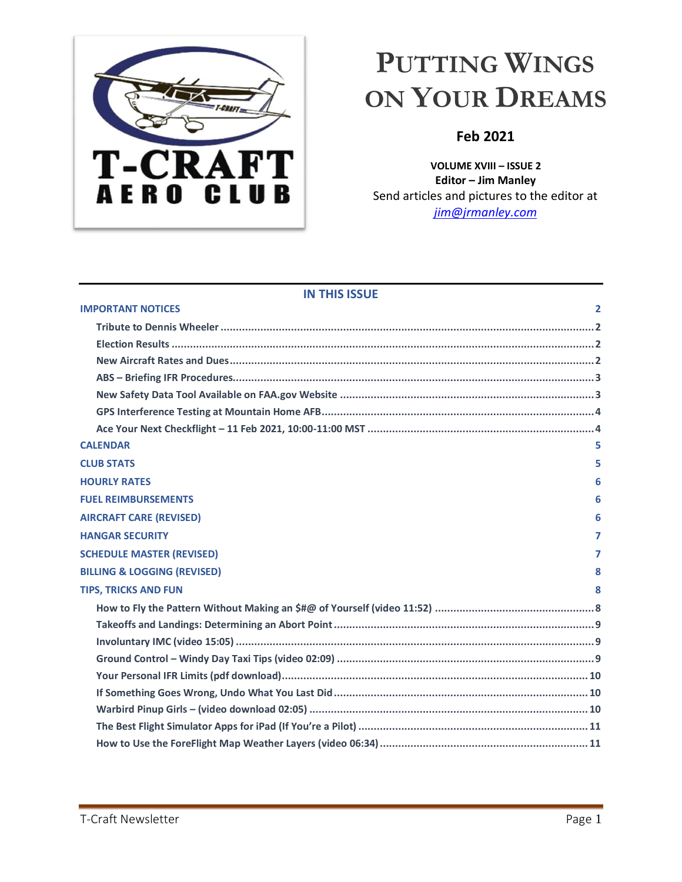

# <span id="page-0-0"></span>**PUTTING WINGS ON YOUR DREAMS**

## **Feb 2021**

**VOLUME XVIII – ISSUE 2 Editor – Jim Manley** Send articles and pictures to the editor at *[jim@jrmanley.com](mailto:jim@jrmanley.com)*

| <b>IN THIS ISSUE</b>                   |              |
|----------------------------------------|--------------|
| <b>IMPORTANT NOTICES</b>               | $\mathbf{2}$ |
|                                        |              |
|                                        |              |
|                                        |              |
|                                        |              |
|                                        |              |
|                                        |              |
|                                        |              |
| <b>CALENDAR</b>                        | 5.           |
| <b>CLUB STATS</b>                      | 5            |
| <b>HOURLY RATES</b>                    | 6            |
| <b>FUEL REIMBURSEMENTS</b>             | 6            |
| <b>AIRCRAFT CARE (REVISED)</b>         | 6            |
| <b>HANGAR SECURITY</b>                 | 7            |
| <b>SCHEDULE MASTER (REVISED)</b>       | 7            |
| <b>BILLING &amp; LOGGING (REVISED)</b> | 8            |
| <b>TIPS, TRICKS AND FUN</b>            | 8            |
|                                        |              |
|                                        |              |
|                                        |              |
|                                        |              |
|                                        |              |
|                                        |              |
|                                        |              |
|                                        |              |
|                                        |              |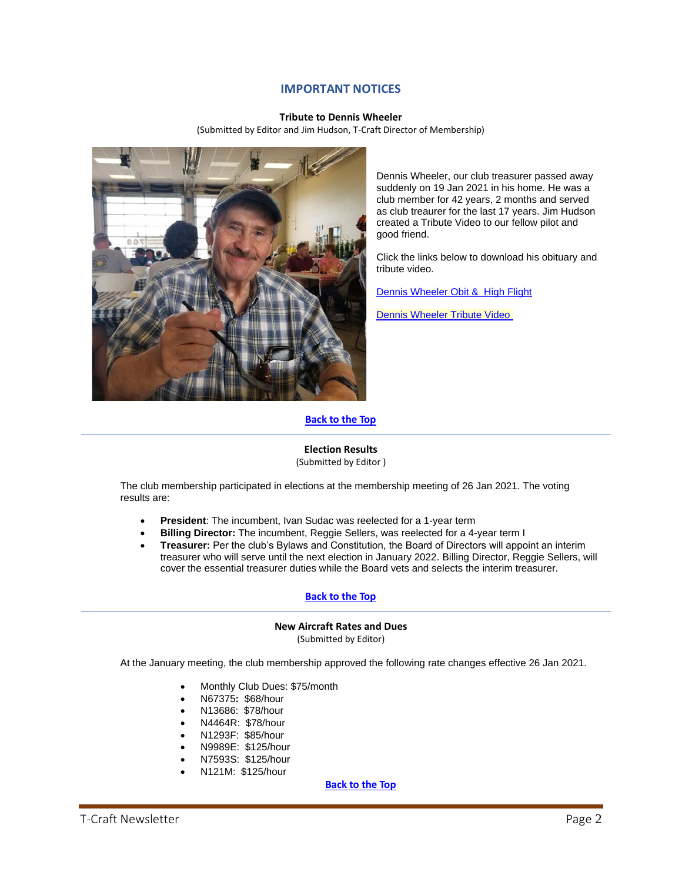## **IMPORTANT NOTICES**

#### **Tribute to Dennis Wheeler**

(Submitted by Editor and Jim Hudson, T-Craft Director of Membership)

<span id="page-1-1"></span><span id="page-1-0"></span>

Dennis Wheeler, our club treasurer passed away suddenly on 19 Jan 2021 in his home. He was a club member for 42 years, 2 months and served as club treaurer for the last 17 years. Jim Hudson created a Tribute Video to our fellow pilot and good friend.

Click the links below to download his obituary and [tribute video.](http://www.t-craft.org/Scrapbook/Dennis_High_Flight.pdf)

[Dennis Wheeler Obit &](http://www.t-craft.org/Scrapbook/Dennis_High_Flight.pdf) High Flight

[Dennis Wheeler Tribute Video](http://www.t-craft.org/Scrapbook/Dennis_Wheeler_Tribute.m4v)

### **[Back](#page-0-0) to the Top**

#### **Election Results**

(Submitted by Editor )

<span id="page-1-2"></span>The club membership participated in elections at the membership meeting of 26 Jan 2021. The voting results are:

- **President**: The incumbent, Ivan Sudac was reelected for a 1-year term
- **Billing Director:** The incumbent, Reggie Sellers, was reelected for a 4-year term I
- **Treasurer:** Per the club's Bylaws and Constitution, the Board of Directors will appoint an interim treasurer who will serve until the next election in January 2022. Billing Director, Reggie Sellers, will cover the essential treasurer duties while the Board vets and selects the interim treasurer.

#### **[Back](#page-0-0) to the Top**

## **New Aircraft Rates and Dues**

(Submitted by Editor)

<span id="page-1-3"></span>At the January meeting, the club membership approved the following rate changes effective 26 Jan 2021.

- Monthly Club Dues: \$75/month
- N67375**:** \$68/hour
- N13686: \$78/hour
- N4464R: \$78/hour
- N1293F: \$85/hour
- N9989E: \$125/hour
- N7593S: \$125/hour
- N121M: \$125/hour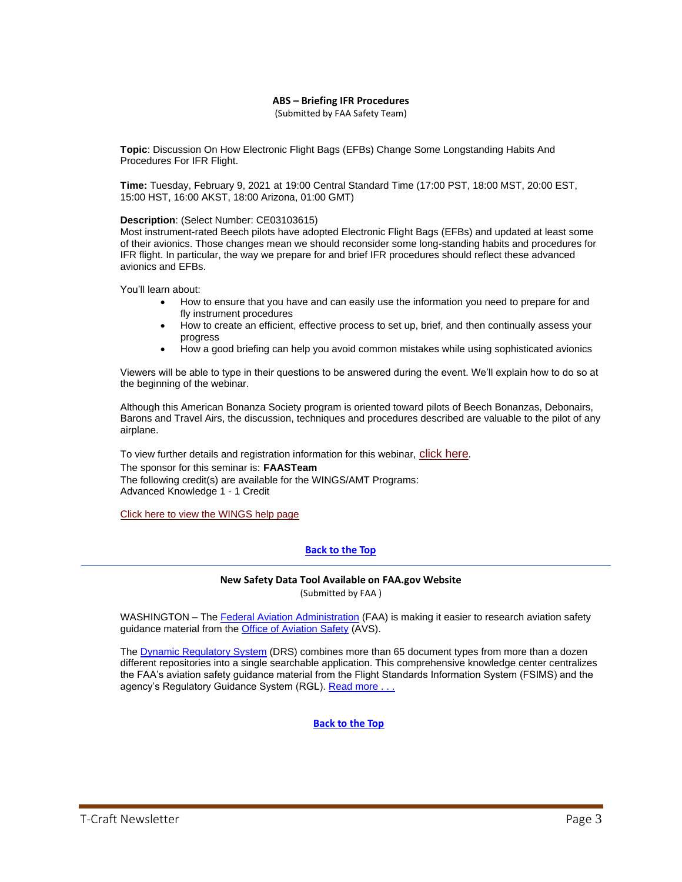#### **ABS – Briefing IFR Procedures**

(Submitted by FAA Safety Team)

<span id="page-2-0"></span>**Topic**: Discussion On How Electronic Flight Bags (EFBs) Change Some Longstanding Habits And Procedures For IFR Flight.

**Time:** Tuesday, February 9, 2021 at 19:00 Central Standard Time (17:00 PST, 18:00 MST, 20:00 EST, 15:00 HST, 16:00 AKST, 18:00 Arizona, 01:00 GMT)

#### **Description**: (Select Number: CE03103615)

Most instrument-rated Beech pilots have adopted Electronic Flight Bags (EFBs) and updated at least some of their avionics. Those changes mean we should reconsider some long-standing habits and procedures for IFR flight. In particular, the way we prepare for and brief IFR procedures should reflect these advanced avionics and EFBs.

You'll learn about:

- How to ensure that you have and can easily use the information you need to prepare for and fly instrument procedures
- How to create an efficient, effective process to set up, brief, and then continually assess your progress
- How a good briefing can help you avoid common mistakes while using sophisticated avionics

Viewers will be able to type in their questions to be answered during the event. We'll explain how to do so at the beginning of the webinar.

Although this American Bonanza Society program is oriented toward pilots of Beech Bonanzas, Debonairs, Barons and Travel Airs, the discussion, techniques and procedures described are valuable to the pilot of any airplane.

To view further details and registration information for this webinar, [click here](http://www.faasafety.gov/SPANS/event_details.aspx?eid=103615). The sponsor for this seminar is: **FAASTeam** The following credit(s) are available for the WINGS/AMT Programs: Advanced Knowledge 1 - 1 Credit

[Click here to view the WINGS help page](https://www.faasafety.gov/OnlineHelp/Default.aspx?page=/WINGS/pub/default.aspx)

### **[Back](#page-0-0) to the Top**

#### **New Safety Data Tool Available on FAA.gov Website** (Submitted by FAA )

<span id="page-2-1"></span>WASHINGTON – The [Federal Aviation Administration](https://lnks.gd/l/eyJhbGciOiJIUzI1NiJ9.eyJidWxsZXRpbl9saW5rX2lkIjoxMDMsInVyaSI6ImJwMjpjbGljayIsImJ1bGxldGluX2lkIjoiMjAyMTAxMTUuMzMzODQwOTEiLCJ1cmwiOiJodHRwczovL3d3dy5mYWEuZ292LyJ9.Ay05mmiHCc9ChOvRslx3m7NAS-nqTiQdcgBAJntaj9c/s/1175446492/br/93166912542-l) (FAA) is making it easier to research aviation safety guidance material from the [Office of Aviation Safety](https://lnks.gd/l/eyJhbGciOiJIUzI1NiJ9.eyJidWxsZXRpbl9saW5rX2lkIjoxMDQsInVyaSI6ImJwMjpjbGljayIsImJ1bGxldGluX2lkIjoiMjAyMTAxMTUuMzMzODQwOTEiLCJ1cmwiOiJodHRwczovL3d3dy5mYWEuZ292L2Fib3V0L29mZmljZV9vcmcvaGVhZHF1YXJ0ZXJzX29mZmljZXMvYXZzLyJ9.2LZEFzcKx2Vr2KJNC1EX-RE9u5A9h-fYgQZ8WUa9ISw/s/1175446492/br/93166912542-l) (AVS).

The [Dynamic Regulatory System](https://lnks.gd/l/eyJhbGciOiJIUzI1NiJ9.eyJidWxsZXRpbl9saW5rX2lkIjoxMDUsInVyaSI6ImJwMjpjbGljayIsImJ1bGxldGluX2lkIjoiMjAyMTAxMTUuMzMzODQwOTEiLCJ1cmwiOiJodHRwczovL3d3dy5mYWEuZ292L2Fib3V0L29mZmljZV9vcmcvaGVhZHF1YXJ0ZXJzX29mZmljZXMvYXZzL3Byb2dyYW1zL2Rycy8ifQ.su9A9f0d9RRbquLvF4geITE0wp7nJ7pJtQo6FoLn7W0/s/1175446492/br/93166912542-l) (DRS) combines more than 65 document types from more than a dozen different repositories into a single searchable application. This comprehensive knowledge center centralizes the FAA's aviation safety guidance material from the Flight Standards Information System (FSIMS) and the agency's Regulatory Guidance System (RGL). Read more . . .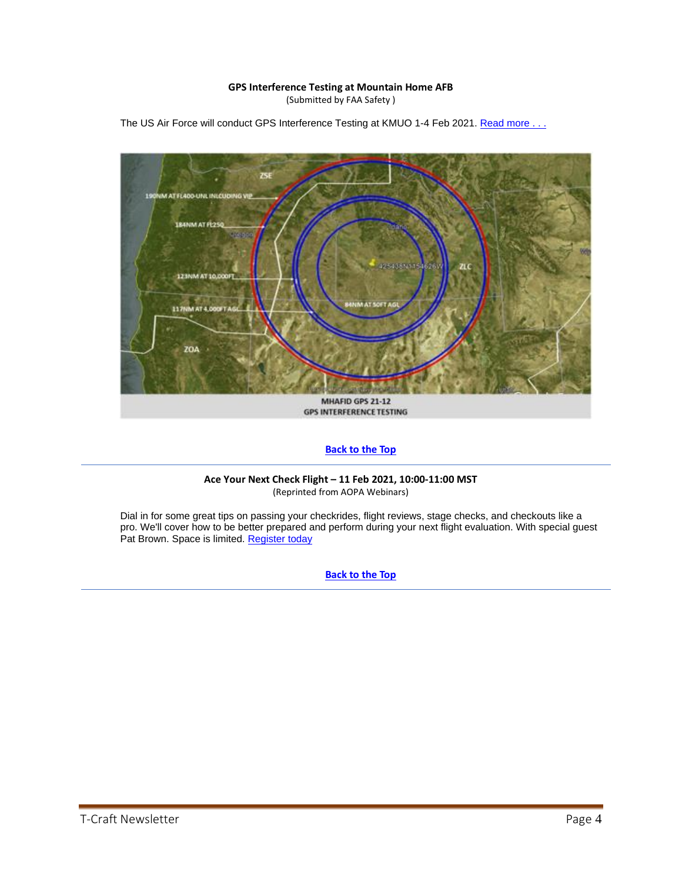## **GPS Interference Testing at Mountain Home AFB**

(Submitted by FAA Safety )



<span id="page-3-0"></span>The US Air Force will conduct GPS Interference Testing at KMUO 1-4 Feb 2021. Read more . . .

### **[Back](#page-0-0) to the Top**

#### **Ace Your Next Check Flight – 11 Feb 2021, 10:00-11:00 MST** (Reprinted from AOPA Webinars)

<span id="page-3-1"></span>Dial in for some great tips on passing your checkrides, flight reviews, stage checks, and checkouts like a pro. We'll cover how to be better prepared and perform during your next flight evaluation. With special guest Pat Brown. Space is limited[. Register today](https://register.gotowebinar.com/register/987071577509721104)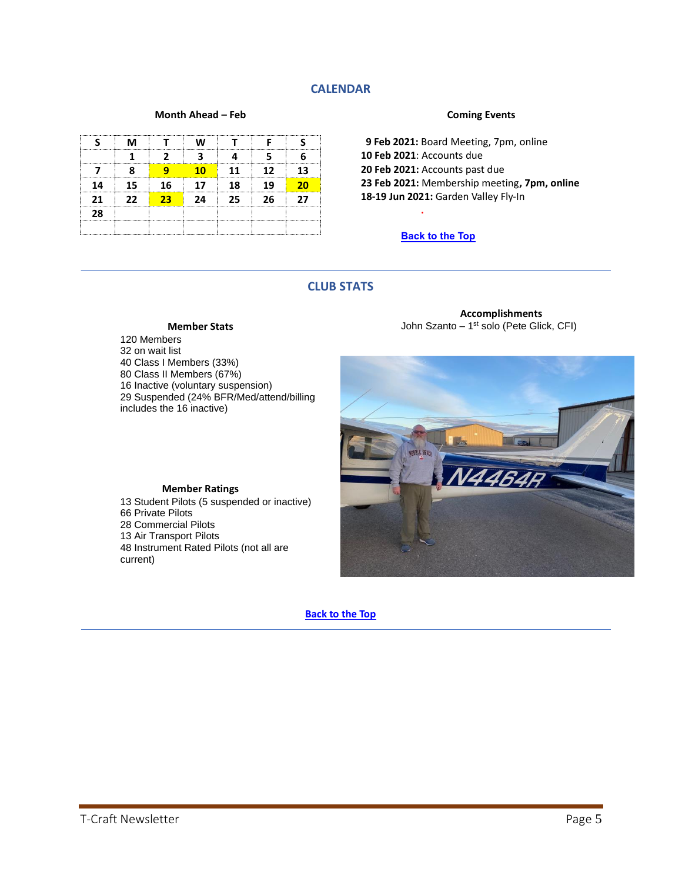## **CALENDAR**

#### **Month Ahead – Feb**

<span id="page-4-0"></span>

|    |    |                            |     | .      |                 |    |
|----|----|----------------------------|-----|--------|-----------------|----|
|    |    |                            |     |        |                 |    |
|    |    |                            | 1 מ | 11     | 12 <sub>1</sub> | 13 |
|    | 15 | 16                         | 17  | 18<br> | 19              |    |
| 21 | 22 | $\overline{\phantom{1}23}$ | 24  | - 25   | つら              | 77 |
| 28 |    |                            |     |        |                 |    |
|    |    |                            |     |        |                 |    |

#### **Coming Events**

 **9 Feb 2021:** Board Meeting, 7pm, online **10 Feb 2021**: Accounts due **20 Feb 2021:** Accounts past due **23 Feb 2021:** Membership meeting**, 7pm, online 18-19 Jun 2021:** Garden Valley Fly-In

#### **[Back](#page-0-0) to the Top**

**.**

## **CLUB STATS**

#### **Member Stats**

<span id="page-4-1"></span>120 Members on wait list Class I Members (33%) Class II Members (67%) Inactive (voluntary suspension) Suspended (24% BFR/Med/attend/billing includes the 16 inactive)

**Accomplishments** John Szanto – 1<sup>st</sup> solo (Pete Glick, CFI)



 Student Pilots (5 suspended or inactive) Private Pilots Commercial Pilots Air Transport Pilots Instrument Rated Pilots (not all are

**Member Ratings**

**[Back to the Top](#page-0-0)**

current)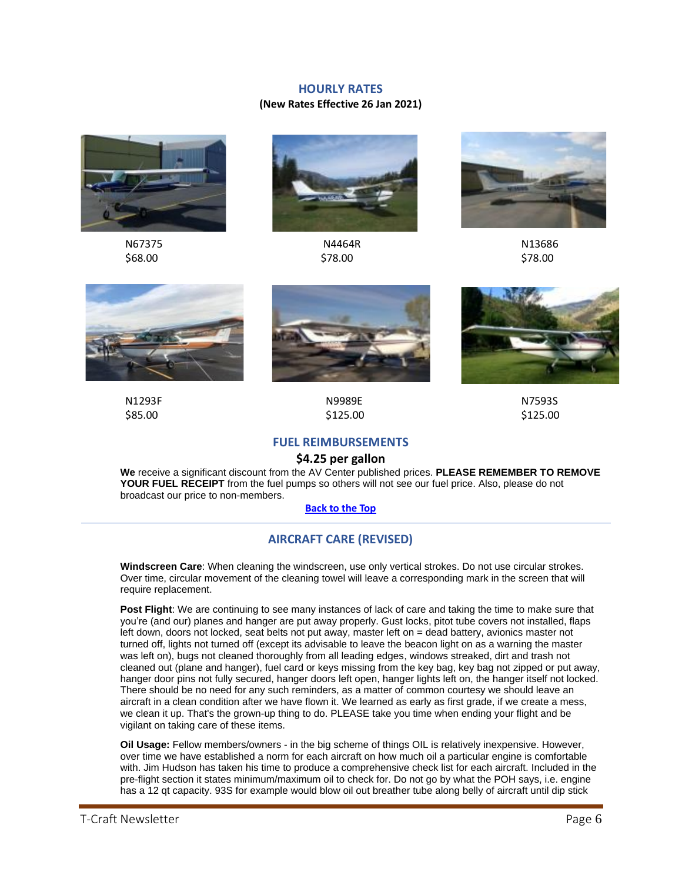### **HOURLY RATES**

### **(New Rates Effective 26 Jan 2021)**

<span id="page-5-0"></span>



 N67375 N4464R N13686  $$78.00$  \$78.00 \$78.00









 N1293F N9989E N7593S  $$85.00$  \$125.00 \$125.00

## **FUEL REIMBURSEMENTS**

## **\$4.25 per gallon**

<span id="page-5-1"></span>**We** receive a significant discount from the AV Center published prices. **PLEASE REMEMBER TO REMOVE YOUR FUEL RECEIPT** from the fuel pumps so others will not see our fuel price. Also, please do not broadcast our price to non-members.

#### **[Back](#page-0-0) to the Top**

#### **AIRCRAFT CARE (REVISED)**

<span id="page-5-2"></span>**Windscreen Care**: When cleaning the windscreen, use only vertical strokes. Do not use circular strokes. Over time, circular movement of the cleaning towel will leave a corresponding mark in the screen that will require replacement.

**Post Flight**: We are continuing to see many instances of lack of care and taking the time to make sure that you're (and our) planes and hanger are put away properly. Gust locks, pitot tube covers not installed, flaps left down, doors not locked, seat belts not put away, master left on = dead battery, avionics master not turned off, lights not turned off (except its advisable to leave the beacon light on as a warning the master was left on), bugs not cleaned thoroughly from all leading edges, windows streaked, dirt and trash not cleaned out (plane and hanger), fuel card or keys missing from the key bag, key bag not zipped or put away, hanger door pins not fully secured, hanger doors left open, hanger lights left on, the hanger itself not locked. There should be no need for any such reminders, as a matter of common courtesy we should leave an aircraft in a clean condition after we have flown it. We learned as early as first grade, if we create a mess, we clean it up. That's the grown-up thing to do. PLEASE take you time when ending your flight and be vigilant on taking care of these items.

**Oil Usage:** Fellow members/owners - in the big scheme of things OIL is relatively inexpensive. However, over time we have established a norm for each aircraft on how much oil a particular engine is comfortable with. Jim Hudson has taken his time to produce a comprehensive check list for each aircraft. Included in the pre-flight section it states minimum/maximum oil to check for. Do not go by what the POH says, i.e. engine has a 12 qt capacity. 93S for example would blow oil out breather tube along belly of aircraft until dip stick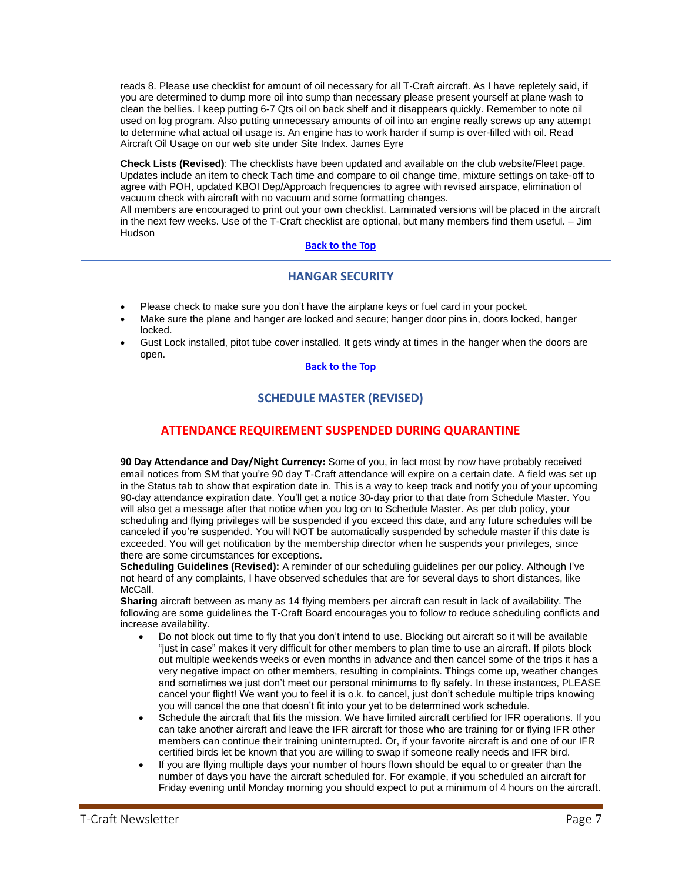reads 8. Please use checklist for amount of oil necessary for all T-Craft aircraft. As I have repletely said, if you are determined to dump more oil into sump than necessary please present yourself at plane wash to clean the bellies. I keep putting 6-7 Qts oil on back shelf and it disappears quickly. Remember to note oil used on log program. Also putting unnecessary amounts of oil into an engine really screws up any attempt to determine what actual oil usage is. An engine has to work harder if sump is over-filled with oil. Read Aircraft Oil Usage on our web site under Site Index. James Eyre

**Check Lists (Revised)**: The checklists have been updated and available on the club website/Fleet page. Updates include an item to check Tach time and compare to oil change time, mixture settings on take-off to agree with POH, updated KBOI Dep/Approach frequencies to agree with revised airspace, elimination of vacuum check with aircraft with no vacuum and some formatting changes.

All members are encouraged to print out your own checklist. Laminated versions will be placed in the aircraft in the next few weeks. Use of the T-Craft checklist are optional, but many members find them useful. – Jim **Hudson** 

### **[Back](#page-0-0) to the Top**

## **HANGAR SECURITY**

- <span id="page-6-0"></span>• Please check to make sure you don't have the airplane keys or fuel card in your pocket.
- Make sure the plane and hanger are locked and secure; hanger door pins in, doors locked, hanger locked.
- <span id="page-6-1"></span>• Gust Lock installed, pitot tube cover installed. It gets windy at times in the hanger when the doors are open.

### **[Back](#page-0-0) to the Top**

## **SCHEDULE MASTER (REVISED)**

## **ATTENDANCE REQUIREMENT SUSPENDED DURING QUARANTINE**

**90 Day Attendance and Day/Night Currency:** Some of you, in fact most by now have probably received email notices from SM that you're 90 day T-Craft attendance will expire on a certain date. A field was set up in the Status tab to show that expiration date in. This is a way to keep track and notify you of your upcoming 90-day attendance expiration date. You'll get a notice 30-day prior to that date from Schedule Master. You will also get a message after that notice when you log on to Schedule Master. As per club policy, your scheduling and flying privileges will be suspended if you exceed this date, and any future schedules will be canceled if you're suspended. You will NOT be automatically suspended by schedule master if this date is exceeded. You will get notification by the membership director when he suspends your privileges, since there are some circumstances for exceptions.

**Scheduling Guidelines (Revised):** A reminder of our scheduling guidelines per our policy. Although I've not heard of any complaints, I have observed schedules that are for several days to short distances, like McCall.

**Sharing** aircraft between as many as 14 flying members per aircraft can result in lack of availability. The following are some guidelines the T-Craft Board encourages you to follow to reduce scheduling conflicts and increase availability.

- Do not block out time to fly that you don't intend to use. Blocking out aircraft so it will be available "just in case" makes it very difficult for other members to plan time to use an aircraft. If pilots block out multiple weekends weeks or even months in advance and then cancel some of the trips it has a very negative impact on other members, resulting in complaints. Things come up, weather changes and sometimes we just don't meet our personal minimums to fly safely. In these instances, PLEASE cancel your flight! We want you to feel it is o.k. to cancel, just don't schedule multiple trips knowing you will cancel the one that doesn't fit into your yet to be determined work schedule.
- Schedule the aircraft that fits the mission. We have limited aircraft certified for IFR operations. If you can take another aircraft and leave the IFR aircraft for those who are training for or flying IFR other members can continue their training uninterrupted. Or, if your favorite aircraft is and one of our IFR certified birds let be known that you are willing to swap if someone really needs and IFR bird.
- If you are flying multiple days your number of hours flown should be equal to or greater than the number of days you have the aircraft scheduled for. For example, if you scheduled an aircraft for Friday evening until Monday morning you should expect to put a minimum of 4 hours on the aircraft.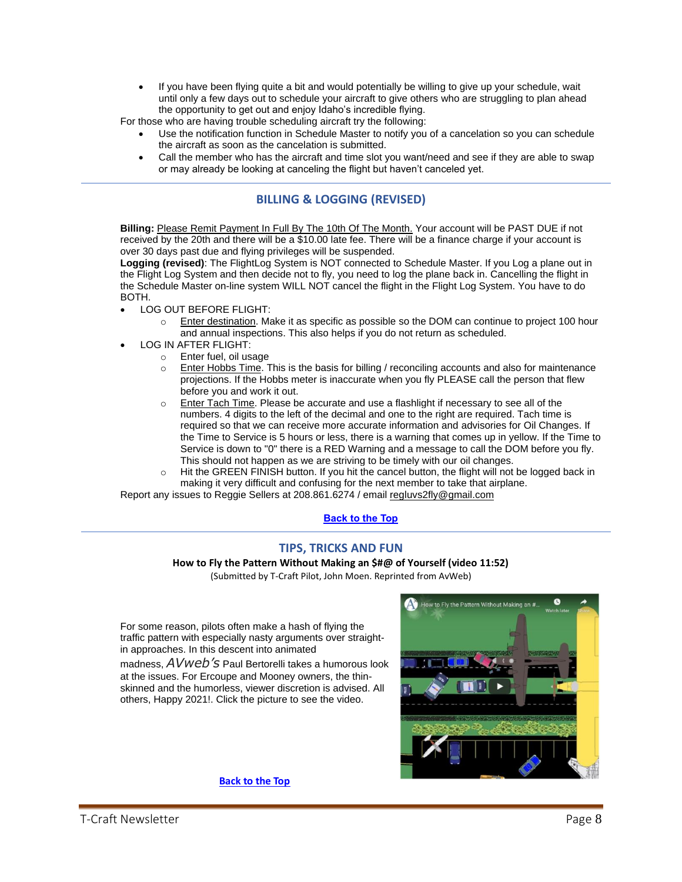• If you have been flying quite a bit and would potentially be willing to give up your schedule, wait until only a few days out to schedule your aircraft to give others who are struggling to plan ahead the opportunity to get out and enjoy Idaho's incredible flying.

For those who are having trouble scheduling aircraft try the following:

- Use the notification function in Schedule Master to notify you of a cancelation so you can schedule the aircraft as soon as the cancelation is submitted.
- Call the member who has the aircraft and time slot you want/need and see if they are able to swap or may already be looking at canceling the flight but haven't canceled yet.

## **BILLING & LOGGING (REVISED)**

<span id="page-7-0"></span>**Billing:** Please Remit Payment In Full By The 10th Of The Month. Your account will be PAST DUE if not received by the 20th and there will be a \$10.00 late fee. There will be a finance charge if your account is over 30 days past due and flying privileges will be suspended.

**Logging (revised)**: The FlightLog System is NOT connected to Schedule Master. If you Log a plane out in the Flight Log System and then decide not to fly, you need to log the plane back in. Cancelling the flight in the Schedule Master on-line system WILL NOT cancel the flight in the Flight Log System. You have to do BOTH.

- LOG OUT BEFORE FLIGHT:
	- $\circ$  Enter destination. Make it as specific as possible so the DOM can continue to project 100 hour and annual inspections. This also helps if you do not return as scheduled.
- LOG IN AFTER FLIGHT:
	- o Enter fuel, oil usage
	- $\circ$  Enter Hobbs Time. This is the basis for billing / reconciling accounts and also for maintenance projections. If the Hobbs meter is inaccurate when you fly PLEASE call the person that flew before you and work it out.
	- $\circ$  Enter Tach Time. Please be accurate and use a flashlight if necessary to see all of the numbers. 4 digits to the left of the decimal and one to the right are required. Tach time is required so that we can receive more accurate information and advisories for Oil Changes. If the Time to Service is 5 hours or less, there is a warning that comes up in yellow. If the Time to Service is down to "0" there is a RED Warning and a message to call the DOM before you fly. This should not happen as we are striving to be timely with our oil changes.
	- o Hit the GREEN FINISH button. If you hit the cancel button, the flight will not be logged back in making it very difficult and confusing for the next member to take that airplane.

<span id="page-7-1"></span>Report any issues to Reggie Sellers at 208.861.6274 / email [regluvs2fly@gmail.com](mailto:regluvs2fly@gmail.com)

### **[Back](#page-0-0) to the Top**

## **TIPS, TRICKS AND FUN**

**How to Fly the Pattern Without Making an \$#@ of Yourself (video 11:52)**

(Submitted by T-Craft Pilot, John Moen. Reprinted from AvWeb)

<span id="page-7-2"></span>For some reason, pilots often make a hash of flying the traffic pattern with especially nasty arguments over straightin approaches. In this descent into animated

madness, *AVweb's* Paul Bertorelli takes a humorous look at the issues. For Ercoupe and Mooney owners, the thinskinned and the humorless, viewer discretion is advised. All others, Happy 2021!. Click the picture to see the video.

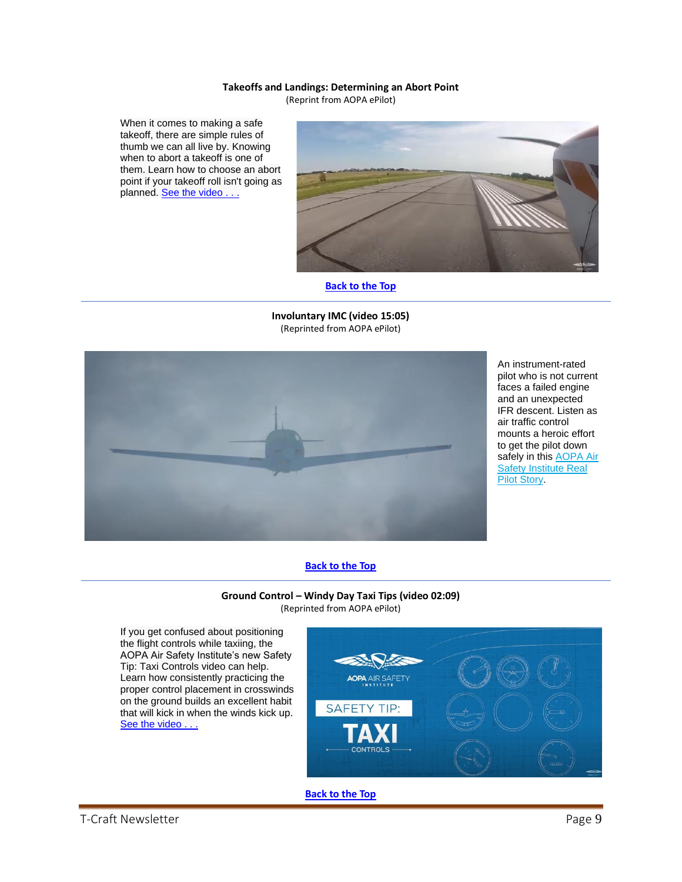#### **Takeoffs and Landings: Determining an Abort Point**

(Reprint from AOPA ePilot)

<span id="page-8-0"></span>When it comes to making a safe takeoff, there are simple rules of thumb we can all live by. Knowing when to abort a takeoff is one of them. Learn how to choose an abort point if your takeoff roll isn't going as planned. See the video . . .



#### **[Back](#page-0-0) to the Top**

<span id="page-8-1"></span>**Involuntary IMC (video 15:05)** (Reprinted from AOPA ePilot)



An instrument-rated pilot who is not current faces a failed engine and an unexpected IFR descent. Listen as air traffic control mounts a heroic effort to get the pilot down safely in this **AOPA Air** [Safety Institute Real](https://click.mail.aopa.org/?qs=54dd9c68ba693d4209d208bf6fd894b360eadcff11e34d03f3024fe2a08eb1a753dfbc7eac0477f58eda83bdd6889a5382a9cef5a0411d2f)  [Pilot Story.](https://click.mail.aopa.org/?qs=54dd9c68ba693d4209d208bf6fd894b360eadcff11e34d03f3024fe2a08eb1a753dfbc7eac0477f58eda83bdd6889a5382a9cef5a0411d2f)

#### **[Back](#page-0-0) to the Top**

#### **Ground Control – Windy Day Taxi Tips (video 02:09)** (Reprinted from AOPA ePilot)

<span id="page-8-2"></span>If you get confused about positioning the flight controls while taxiing, the AOPA Air Safety Institute's new Safety Tip: Taxi Controls video can help. Learn how consistently practicing the proper control placement in crosswinds on the ground builds an excellent habit that will kick in when the winds kick up. See the video . . .

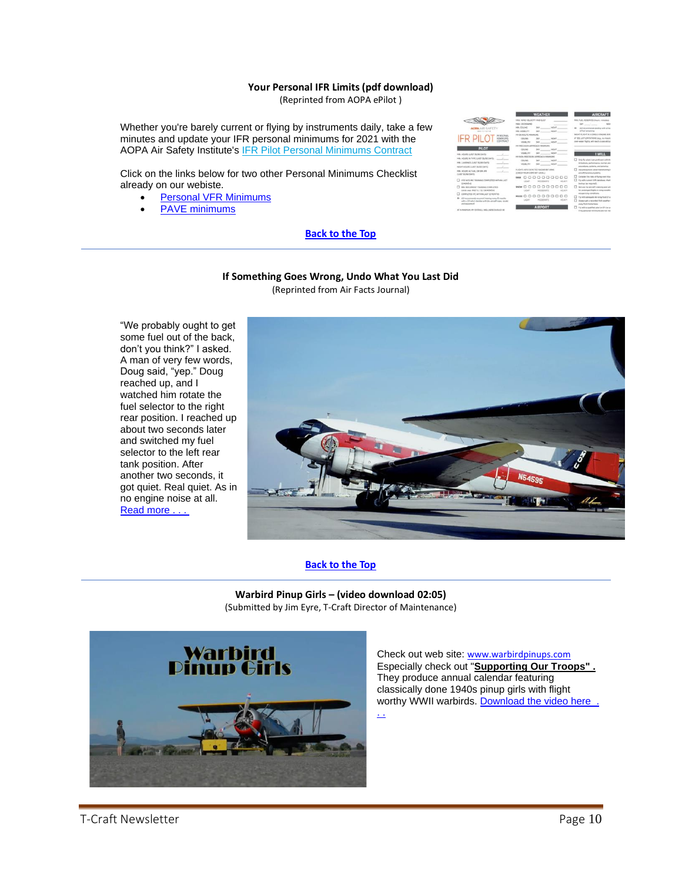#### **Your Personal IFR Limits (pdf download)**

(Reprinted from AOPA ePilot )

<span id="page-9-0"></span>Whether you're barely current or flying by instruments daily, take a few minutes and update your IFR personal minimums for 2021 with the AOPA Air Safety Institute's [IFR Pilot Personal Minimums Contract](https://click.mail.aopa.org/?qs=1e8799fd94e247d4e40203bf0f72542c6577d899b96dbc021ca52d0ba407f1ed6ee579455bb0d4112ca3dcb5530c0678899d894f7c69b63bb89c4277a92cdd95)

Click on the links below for two other Personal Minimums Checklist already on our webiste.

- [Personal VFR Minimums](http://www.t-craft.org/PersonalMinimumsContractVFR.pdf)
- [PAVE minimums](http://www.t-craft.org/PAVE.pdf)

## .......... 000000000 000000

## **If Something Goes Wrong, Undo What You Last Did**

**[Back](#page-0-0) to the Top**

(Reprinted from Air Facts Journal)

<span id="page-9-1"></span>"We probably ought to get some fuel out of the back, don't you think?" I asked. A man of very few words, Doug said, "yep." Doug reached up, and I watched him rotate the fuel selector to the right rear position. I reached up about two seconds later and switched my fuel selector to the left rear tank position. After another two seconds, it got quiet. Real quiet. As in no engine noise at all. Read more . . .



### **[Back](#page-0-0) to the Top**

**Warbird Pinup Girls – (video download 02:05)** (Submitted by Jim Eyre, T-Craft Director of Maintenance)

<span id="page-9-2"></span>

Check out web site: [www.warbirdpinups.com](http://www.warbirdpinups.com/) Especially check out "**Supporting Our Troops" .** They produce annual calendar featuring classically done 1940s pinup girls with flight worthy WWII warbirds. Download the video here .

[. .](http://www.t-craft.org/Scrapbook/WarBirdPinUpGirls.mp4)